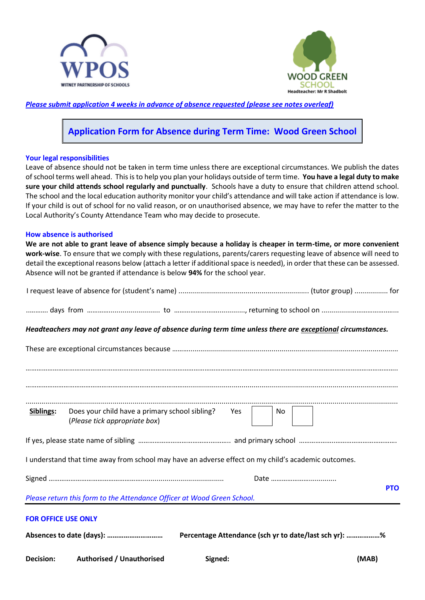



*Please submit application 4 weeks in advance of absence requested (please see notes overleaf)*

# **Application Form for Absence during Term Time: Wood Green School**

## **Your legal responsibilities**

Leave of absence should not be taken in term time unless there are exceptional circumstances. We publish the dates of school terms well ahead. This is to help you plan your holidays outside of term time. **You have a legal duty to make sure your child attends school regularly and punctually**. Schools have a duty to ensure that children attend school. The school and the local education authority monitor your child's attendance and will take action if attendance is low. If your child is out of school for no valid reason, or on unauthorised absence, we may have to refer the matter to the Local Authority's County Attendance Team who may decide to prosecute.

#### **How absence is authorised**

**We are not able to grant leave of absence simply because a holiday is cheaper in term-time, or more convenient work-wise**. To ensure that we comply with these regulations, parents/carers requesting leave of absence will need to detail the exceptional reasons below (attach a letter if additional space is needed), in order that these can be assessed. Absence will not be granted if attendance is below **94%** for the school year.

| <b>Decision:</b>           | <b>Authorised / Unauthorised</b>                                                                             | Signed:                                               |    |  | (MAB) |            |
|----------------------------|--------------------------------------------------------------------------------------------------------------|-------------------------------------------------------|----|--|-------|------------|
|                            |                                                                                                              | Percentage Attendance (sch yr to date/last sch yr): % |    |  |       |            |
| <b>FOR OFFICE USE ONLY</b> |                                                                                                              |                                                       |    |  |       |            |
|                            | Please return this form to the Attendance Officer at Wood Green School.                                      |                                                       |    |  |       |            |
|                            |                                                                                                              |                                                       |    |  |       | <b>PTO</b> |
|                            | I understand that time away from school may have an adverse effect on my child's academic outcomes.          |                                                       |    |  |       |            |
|                            |                                                                                                              |                                                       |    |  |       |            |
|                            | (Please tick appropriate box)                                                                                |                                                       |    |  |       |            |
| Siblings:                  | Does your child have a primary school sibling? Yes                                                           |                                                       | No |  |       |            |
|                            |                                                                                                              |                                                       |    |  |       |            |
|                            |                                                                                                              |                                                       |    |  |       |            |
|                            | Headteachers may not grant any leave of absence during term time unless there are exceptional circumstances. |                                                       |    |  |       |            |
|                            |                                                                                                              |                                                       |    |  |       |            |
|                            |                                                                                                              |                                                       |    |  |       |            |
|                            |                                                                                                              |                                                       |    |  |       |            |